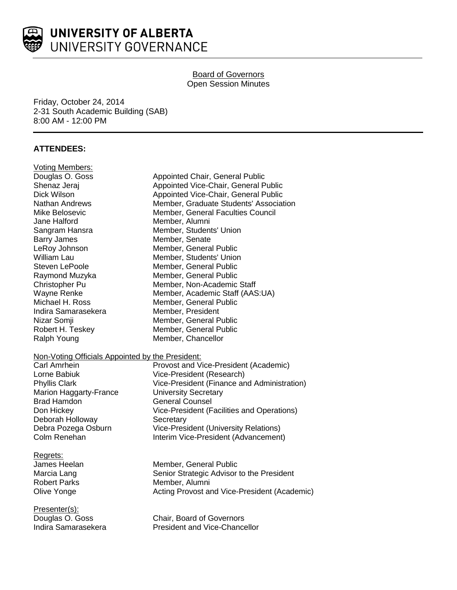

## **Board of Governors** Open Session Minutes

Friday, October 24, 2014 2-31 South Academic Building (SAB) 8:00 AM - 12:00 PM

# **ATTENDEES:**

| <b>Voting Members:</b><br>Douglas O. Goss<br>Shenaz Jeraj<br>Dick Wilson<br>Nathan Andrews<br>Mike Belosevic<br>Jane Halford<br>Sangram Hansra<br><b>Barry James</b><br>LeRoy Johnson<br><b>William Lau</b><br>Steven LePoole<br>Raymond Muzyka<br>Christopher Pu<br>Wayne Renke<br>Michael H. Ross<br>Indira Samarasekera<br>Nizar Somji<br>Robert H. Teskey<br>Ralph Young<br>Non-Voting Officials Appointed by the President: | Appointed Chair, General Public<br>Appointed Vice-Chair, General Public<br>Appointed Vice-Chair, General Public<br>Member, Graduate Students' Association<br>Member, General Faculties Council<br>Member, Alumni<br>Member, Students' Union<br>Member, Senate<br>Member, General Public<br>Member, Students' Union<br>Member, General Public<br>Member, General Public<br>Member, Non-Academic Staff<br>Member, Academic Staff (AAS:UA)<br>Member, General Public<br>Member, President<br>Member, General Public<br>Member, General Public<br>Member, Chancellor |
|----------------------------------------------------------------------------------------------------------------------------------------------------------------------------------------------------------------------------------------------------------------------------------------------------------------------------------------------------------------------------------------------------------------------------------|------------------------------------------------------------------------------------------------------------------------------------------------------------------------------------------------------------------------------------------------------------------------------------------------------------------------------------------------------------------------------------------------------------------------------------------------------------------------------------------------------------------------------------------------------------------|
| <b>Carl Amrhein</b><br>Lorne Babiuk                                                                                                                                                                                                                                                                                                                                                                                              | Provost and Vice-President (Academic)<br>Vice-President (Research)                                                                                                                                                                                                                                                                                                                                                                                                                                                                                               |
| <b>Phyllis Clark</b>                                                                                                                                                                                                                                                                                                                                                                                                             | Vice-President (Finance and Administration)                                                                                                                                                                                                                                                                                                                                                                                                                                                                                                                      |
| <b>Marion Haggarty-France</b><br><b>Brad Hamdon</b>                                                                                                                                                                                                                                                                                                                                                                              | <b>University Secretary</b><br>General Counsel                                                                                                                                                                                                                                                                                                                                                                                                                                                                                                                   |
| Don Hickey                                                                                                                                                                                                                                                                                                                                                                                                                       | Vice-President (Facilities and Operations)                                                                                                                                                                                                                                                                                                                                                                                                                                                                                                                       |
| Deborah Holloway<br>Debra Pozega Osburn                                                                                                                                                                                                                                                                                                                                                                                          | Secretary<br><b>Vice-President (University Relations)</b>                                                                                                                                                                                                                                                                                                                                                                                                                                                                                                        |
| Colm Renehan                                                                                                                                                                                                                                                                                                                                                                                                                     | Interim Vice-President (Advancement)                                                                                                                                                                                                                                                                                                                                                                                                                                                                                                                             |
| Regrets:<br>James Heelan<br>Marcia Lang<br><b>Robert Parks</b><br>Olive Yonge                                                                                                                                                                                                                                                                                                                                                    | Member, General Public<br>Senior Strategic Advisor to the President<br>Member, Alumni<br>Acting Provost and Vice-President (Academic)                                                                                                                                                                                                                                                                                                                                                                                                                            |
| Presenter(s):<br>Douglas O. Goss<br>Indira Samarasekera                                                                                                                                                                                                                                                                                                                                                                          | Chair, Board of Governors<br><b>President and Vice-Chancellor</b>                                                                                                                                                                                                                                                                                                                                                                                                                                                                                                |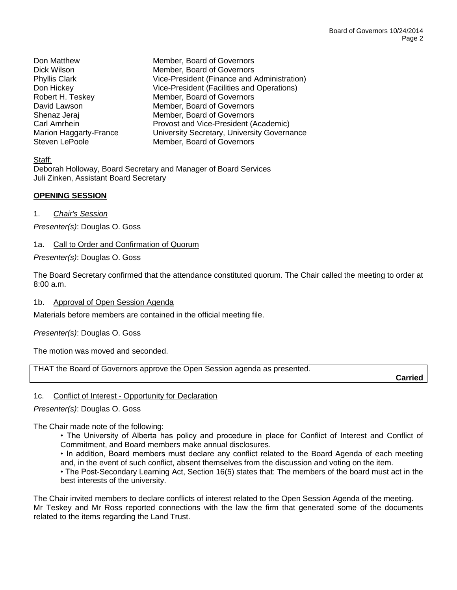Don Matthew Member, Board of Governors

Dick Wilson Member, Board of Governors Phyllis Clark Vice-President (Finance and Administration) Don Hickey Vice-President (Facilities and Operations) Robert H. Teskey Member, Board of Governors David Lawson **Member**, Board of Governors Shenaz Jeraj **Member**, Board of Governors Carl Amrhein Provost and Vice-President (Academic) Marion Haggarty-France University Secretary, University Governance Steven LePoole Member, Board of Governors

Staff:

Deborah Holloway, Board Secretary and Manager of Board Services Juli Zinken, Assistant Board Secretary

## **OPENING SESSION**

1. *Chair's Session*

*Presenter(s)*: Douglas O. Goss

## 1a. Call to Order and Confirmation of Quorum

*Presenter(s)*: Douglas O. Goss

The Board Secretary confirmed that the attendance constituted quorum. The Chair called the meeting to order at 8:00 a.m.

1b. Approval of Open Session Agenda

Materials before members are contained in the official meeting file.

*Presenter(s)*: Douglas O. Goss

The motion was moved and seconded.

THAT the Board of Governors approve the Open Session agenda as presented.

**Carried**

## 1c. Conflict of Interest - Opportunity for Declaration

## *Presenter(s)*: Douglas O. Goss

The Chair made note of the following:

- The University of Alberta has policy and procedure in place for Conflict of Interest and Conflict of Commitment, and Board members make annual disclosures.
- In addition, Board members must declare any conflict related to the Board Agenda of each meeting and, in the event of such conflict, absent themselves from the discussion and voting on the item.
- The Post-Secondary Learning Act, Section 16(5) states that: The members of the board must act in the best interests of the university.

The Chair invited members to declare conflicts of interest related to the Open Session Agenda of the meeting. Mr Teskey and Mr Ross reported connections with the law the firm that generated some of the documents related to the items regarding the Land Trust.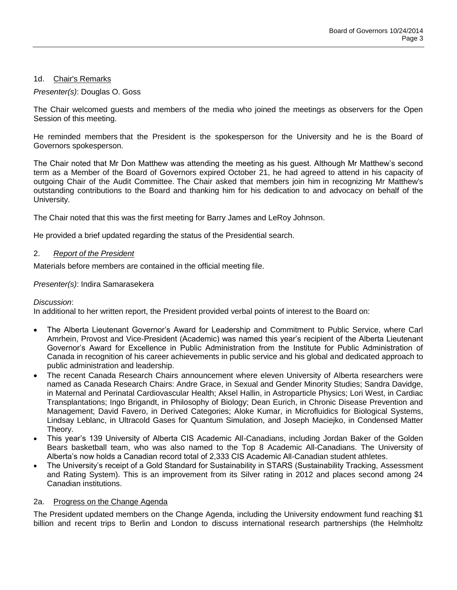### 1d. Chair's Remarks

### *Presenter(s)*: Douglas O. Goss

The Chair welcomed guests and members of the media who joined the meetings as observers for the Open Session of this meeting.

He reminded members that the President is the spokesperson for the University and he is the Board of Governors spokesperson.

The Chair noted that Mr Don Matthew was attending the meeting as his guest. Although Mr Matthew's second term as a Member of the Board of Governors expired October 21, he had agreed to attend in his capacity of outgoing Chair of the Audit Committee. The Chair asked that members join him in recognizing Mr Matthew's outstanding contributions to the Board and thanking him for his dedication to and advocacy on behalf of the University.

The Chair noted that this was the first meeting for Barry James and LeRoy Johnson.

He provided a brief updated regarding the status of the Presidential search.

### 2. *Report of the President*

Materials before members are contained in the official meeting file.

## *Presenter(s)*: Indira Samarasekera

#### *Discussion*:

In additional to her written report, the President provided verbal points of interest to the Board on:

- The Alberta Lieutenant Governor's Award for Leadership and Commitment to Public Service, where Carl Amrhein, Provost and Vice-President (Academic) was named this year's recipient of the Alberta Lieutenant Governor's Award for Excellence in Public Administration from the Institute for Public Administration of Canada in recognition of his career achievements in public service and his global and dedicated approach to public administration and leadership.
- The recent Canada Research Chairs announcement where eleven University of Alberta researchers were named as Canada Research Chairs: Andre Grace, in Sexual and Gender Minority Studies; Sandra Davidge, in Maternal and Perinatal Cardiovascular Health; Aksel Hallin, in Astroparticle Physics; Lori West, in Cardiac Transplantations; Ingo Brigandt, in Philosophy of Biology; Dean Eurich, in Chronic Disease Prevention and Management; David Favero, in Derived Categories; Aloke Kumar, in Microfluidics for Biological Systems, Lindsay Leblanc, in Ultracold Gases for Quantum Simulation, and Joseph Maciejko, in Condensed Matter Theory.
- This year's 139 University of Alberta CIS Academic All-Canadians, including Jordan Baker of the Golden Bears basketball team, who was also named to the Top 8 Academic All-Canadians. The University of Alberta's now holds a Canadian record total of 2,333 CIS Academic All-Canadian student athletes.
- The University's receipt of a Gold Standard for Sustainability in STARS (Sustainability Tracking, Assessment and Rating System). This is an improvement from its Silver rating in 2012 and places second among 24 Canadian institutions.

#### 2a. Progress on the Change Agenda

The President updated members on the Change Agenda, including the University endowment fund reaching \$1 billion and recent trips to Berlin and London to discuss international research partnerships (the Helmholtz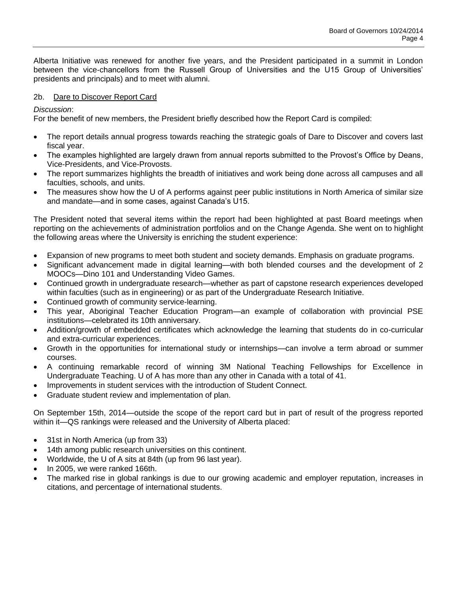Alberta Initiative was renewed for another five years, and the President participated in a summit in London between the vice-chancellors from the Russell Group of Universities and the U15 Group of Universities' presidents and principals) and to meet with alumni.

## 2b. Dare to Discover Report Card

*Discussion*:

For the benefit of new members, the President briefly described how the Report Card is compiled:

- The report details annual progress towards reaching the strategic goals of Dare to Discover and covers last fiscal year.
- The examples highlighted are largely drawn from annual reports submitted to the Provost's Office by Deans, Vice-Presidents, and Vice-Provosts.
- The report summarizes highlights the breadth of initiatives and work being done across all campuses and all faculties, schools, and units.
- The measures show how the U of A performs against peer public institutions in North America of similar size and mandate—and in some cases, against Canada's U15.

The President noted that several items within the report had been highlighted at past Board meetings when reporting on the achievements of administration portfolios and on the Change Agenda. She went on to highlight the following areas where the University is enriching the student experience:

- Expansion of new programs to meet both student and society demands. Emphasis on graduate programs.
- Significant advancement made in digital learning—with both blended courses and the development of 2 MOOCs—Dino 101 and Understanding Video Games.
- Continued growth in undergraduate research—whether as part of capstone research experiences developed within faculties (such as in engineering) or as part of the Undergraduate Research Initiative.
- Continued growth of community service-learning.
- This year, Aboriginal Teacher Education Program—an example of collaboration with provincial PSE institutions—celebrated its 10th anniversary.
- Addition/growth of embedded certificates which acknowledge the learning that students do in co-curricular and extra-curricular experiences.
- Growth in the opportunities for international study or internships—can involve a term abroad or summer courses.
- A continuing remarkable record of winning 3M National Teaching Fellowships for Excellence in Undergraduate Teaching. U of A has more than any other in Canada with a total of 41.
- Improvements in student services with the introduction of Student Connect.
- Graduate student review and implementation of plan.

On September 15th, 2014—outside the scope of the report card but in part of result of the progress reported within it—QS rankings were released and the University of Alberta placed:

- 31st in North America (up from 33)
- 14th among public research universities on this continent.
- Worldwide, the U of A sits at 84th (up from 96 last year).
- $\bullet$  In 2005, we were ranked 166th.
- The marked rise in global rankings is due to our growing academic and employer reputation, increases in citations, and percentage of international students.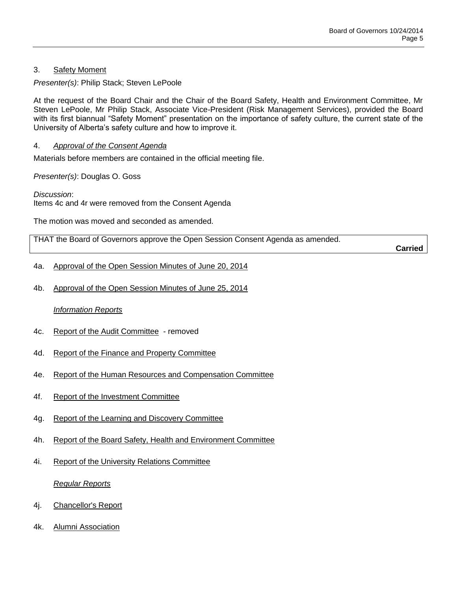## 3. Safety Moment

*Presenter(s)*: Philip Stack; Steven LePoole

At the request of the Board Chair and the Chair of the Board Safety, Health and Environment Committee, Mr Steven LePoole, Mr Philip Stack, Associate Vice-President (Risk Management Services), provided the Board with its first biannual "Safety Moment" presentation on the importance of safety culture, the current state of the University of Alberta's safety culture and how to improve it.

## 4. *Approval of the Consent Agenda*

Materials before members are contained in the official meeting file.

*Presenter(s)*: Douglas O. Goss

*Discussion*: Items 4c and 4r were removed from the Consent Agenda

The motion was moved and seconded as amended.

THAT the Board of Governors approve the Open Session Consent Agenda as amended.

**Carried**

- 4a. Approval of the Open Session Minutes of June 20, 2014
- 4b. Approval of the Open Session Minutes of June 25, 2014

## *Information Reports*

- 4c. Report of the Audit Committee removed
- 4d. Report of the Finance and Property Committee
- 4e. Report of the Human Resources and Compensation Committee
- 4f. Report of the Investment Committee
- 4g. Report of the Learning and Discovery Committee
- 4h. Report of the Board Safety, Health and Environment Committee
- 4i. Report of the University Relations Committee

*Regular Reports*

- 4j. Chancellor's Report
- 4k. Alumni Association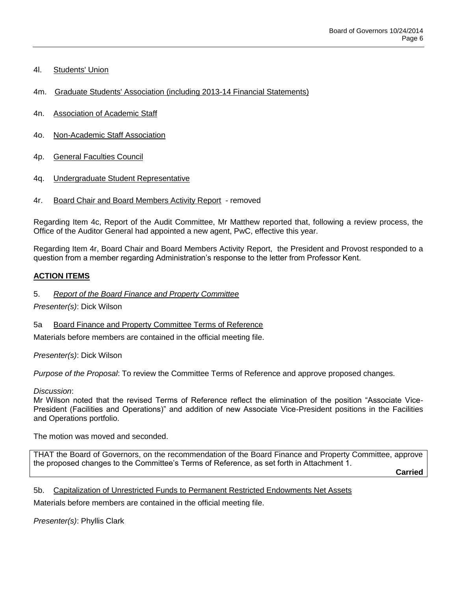- 4l. Students' Union
- 4m. Graduate Students' Association (including 2013-14 Financial Statements)
- 4n. Association of Academic Staff
- 4o. Non-Academic Staff Association
- 4p. General Faculties Council
- 4q. Undergraduate Student Representative
- 4r. Board Chair and Board Members Activity Report removed

Regarding Item 4c, Report of the Audit Committee, Mr Matthew reported that, following a review process, the Office of the Auditor General had appointed a new agent, PwC, effective this year.

Regarding Item 4r, Board Chair and Board Members Activity Report, the President and Provost responded to a question from a member regarding Administration's response to the letter from Professor Kent.

## **ACTION ITEMS**

5. *Report of the Board Finance and Property Committee*

*Presenter(s)*: Dick Wilson

5a Board Finance and Property Committee Terms of Reference

Materials before members are contained in the official meeting file.

*Presenter(s)*: Dick Wilson

*Purpose of the Proposal*: To review the Committee Terms of Reference and approve proposed changes.

## *Discussion*:

Mr Wilson noted that the revised Terms of Reference reflect the elimination of the position "Associate Vice-President (Facilities and Operations)" and addition of new Associate Vice-President positions in the Facilities and Operations portfolio.

The motion was moved and seconded.

THAT the Board of Governors, on the recommendation of the Board Finance and Property Committee, approve the proposed changes to the Committee's Terms of Reference, as set forth in Attachment 1.

**Carried**

5b. Capitalization of Unrestricted Funds to Permanent Restricted Endowments Net Assets

Materials before members are contained in the official meeting file.

*Presenter(s)*: Phyllis Clark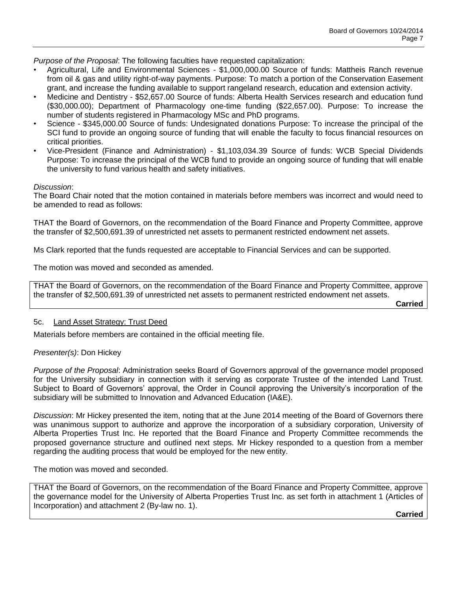*Purpose of the Proposal*: The following faculties have requested capitalization:

- Agricultural, Life and Environmental Sciences \$1,000,000.00 Source of funds: Mattheis Ranch revenue from oil & gas and utility right-of-way payments. Purpose: To match a portion of the Conservation Easement grant, and increase the funding available to support rangeland research, education and extension activity.
- Medicine and Dentistry \$52,657.00 Source of funds: Alberta Health Services research and education fund (\$30,000.00); Department of Pharmacology one-time funding (\$22,657.00). Purpose: To increase the number of students registered in Pharmacology MSc and PhD programs.
- Science \$345,000.00 Source of funds: Undesignated donations Purpose: To increase the principal of the SCI fund to provide an ongoing source of funding that will enable the faculty to focus financial resources on critical priorities.
- Vice-President (Finance and Administration) \$1,103,034.39 Source of funds: WCB Special Dividends Purpose: To increase the principal of the WCB fund to provide an ongoing source of funding that will enable the university to fund various health and safety initiatives.

### *Discussion*:

The Board Chair noted that the motion contained in materials before members was incorrect and would need to be amended to read as follows:

THAT the Board of Governors, on the recommendation of the Board Finance and Property Committee, approve the transfer of \$2,500,691.39 of unrestricted net assets to permanent restricted endowment net assets.

Ms Clark reported that the funds requested are acceptable to Financial Services and can be supported.

The motion was moved and seconded as amended.

THAT the Board of Governors, on the recommendation of the Board Finance and Property Committee, approve the transfer of \$2,500,691.39 of unrestricted net assets to permanent restricted endowment net assets.

**Carried**

#### 5c. Land Asset Strategy: Trust Deed

Materials before members are contained in the official meeting file.

## *Presenter(s)*: Don Hickey

*Purpose of the Proposal*: Administration seeks Board of Governors approval of the governance model proposed for the University subsidiary in connection with it serving as corporate Trustee of the intended Land Trust. Subject to Board of Governors' approval, the Order in Council approving the University's incorporation of the subsidiary will be submitted to Innovation and Advanced Education (IA&E).

*Discussion*: Mr Hickey presented the item, noting that at the June 2014 meeting of the Board of Governors there was unanimous support to authorize and approve the incorporation of a subsidiary corporation, University of Alberta Properties Trust Inc. He reported that the Board Finance and Property Committee recommends the proposed governance structure and outlined next steps. Mr Hickey responded to a question from a member regarding the auditing process that would be employed for the new entity.

The motion was moved and seconded.

THAT the Board of Governors, on the recommendation of the Board Finance and Property Committee, approve the governance model for the University of Alberta Properties Trust Inc. as set forth in attachment 1 (Articles of Incorporation) and attachment 2 (By-law no. 1).

**Carried**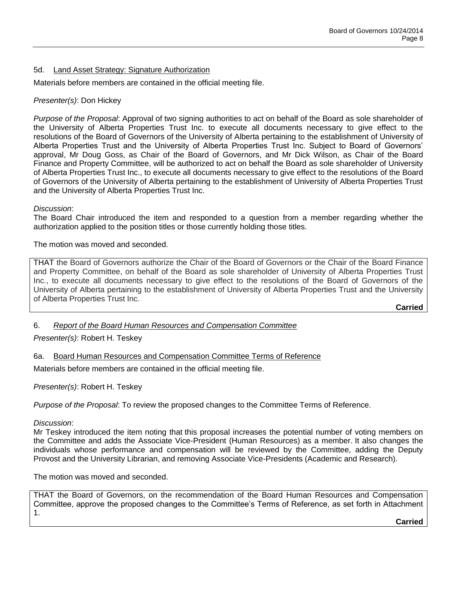## 5d. Land Asset Strategy: Signature Authorization

Materials before members are contained in the official meeting file.

## *Presenter(s)*: Don Hickey

*Purpose of the Proposal*: Approval of two signing authorities to act on behalf of the Board as sole shareholder of the University of Alberta Properties Trust Inc. to execute all documents necessary to give effect to the resolutions of the Board of Governors of the University of Alberta pertaining to the establishment of University of Alberta Properties Trust and the University of Alberta Properties Trust Inc. Subject to Board of Governors' approval, Mr Doug Goss, as Chair of the Board of Governors, and Mr Dick Wilson, as Chair of the Board Finance and Property Committee, will be authorized to act on behalf the Board as sole shareholder of University of Alberta Properties Trust Inc., to execute all documents necessary to give effect to the resolutions of the Board of Governors of the University of Alberta pertaining to the establishment of University of Alberta Properties Trust and the University of Alberta Properties Trust Inc.

### *Discussion*:

The Board Chair introduced the item and responded to a question from a member regarding whether the authorization applied to the position titles or those currently holding those titles.

The motion was moved and seconded.

THAT the Board of Governors authorize the Chair of the Board of Governors or the Chair of the Board Finance and Property Committee, on behalf of the Board as sole shareholder of University of Alberta Properties Trust Inc., to execute all documents necessary to give effect to the resolutions of the Board of Governors of the University of Alberta pertaining to the establishment of University of Alberta Properties Trust and the University of Alberta Properties Trust Inc.

**Carried**

6. *Report of the Board Human Resources and Compensation Committee*

*Presenter(s)*: Robert H. Teskey

6a. Board Human Resources and Compensation Committee Terms of Reference

Materials before members are contained in the official meeting file.

*Presenter(s)*: Robert H. Teskey

*Purpose of the Proposal*: To review the proposed changes to the Committee Terms of Reference.

#### *Discussion*:

Mr Teskey introduced the item noting that this proposal increases the potential number of voting members on the Committee and adds the Associate Vice-President (Human Resources) as a member. It also changes the individuals whose performance and compensation will be reviewed by the Committee, adding the Deputy Provost and the University Librarian, and removing Associate Vice-Presidents (Academic and Research).

The motion was moved and seconded.

THAT the Board of Governors, on the recommendation of the Board Human Resources and Compensation Committee, approve the proposed changes to the Committee's Terms of Reference, as set forth in Attachment 1.

**Carried**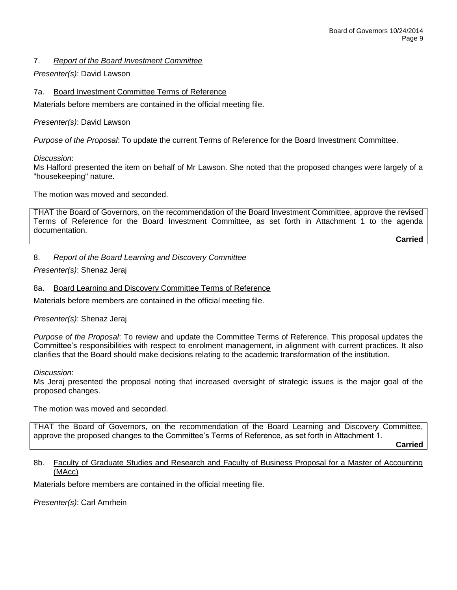## 7. *Report of the Board Investment Committee*

## *Presenter(s)*: David Lawson

7a. Board Investment Committee Terms of Reference

Materials before members are contained in the official meeting file.

## *Presenter(s)*: David Lawson

*Purpose of the Proposal*: To update the current Terms of Reference for the Board Investment Committee.

*Discussion*:

Ms Halford presented the item on behalf of Mr Lawson. She noted that the proposed changes were largely of a "housekeeping" nature.

The motion was moved and seconded.

THAT the Board of Governors, on the recommendation of the Board Investment Committee, approve the revised Terms of Reference for the Board Investment Committee, as set forth in Attachment 1 to the agenda documentation.

**Carried**

## 8. *Report of the Board Learning and Discovery Committee*

*Presenter(s)*: Shenaz Jeraj

## 8a. Board Learning and Discovery Committee Terms of Reference

Materials before members are contained in the official meeting file.

*Presenter(s)*: Shenaz Jeraj

*Purpose of the Proposal*: To review and update the Committee Terms of Reference. This proposal updates the Committee's responsibilities with respect to enrolment management, in alignment with current practices. It also clarifies that the Board should make decisions relating to the academic transformation of the institution.

*Discussion*:

Ms Jeraj presented the proposal noting that increased oversight of strategic issues is the major goal of the proposed changes.

The motion was moved and seconded.

THAT the Board of Governors, on the recommendation of the Board Learning and Discovery Committee, approve the proposed changes to the Committee's Terms of Reference, as set forth in Attachment 1.

**Carried**

## 8b. Faculty of Graduate Studies and Research and Faculty of Business Proposal for a Master of Accounting (MAcc)

Materials before members are contained in the official meeting file.

*Presenter(s)*: Carl Amrhein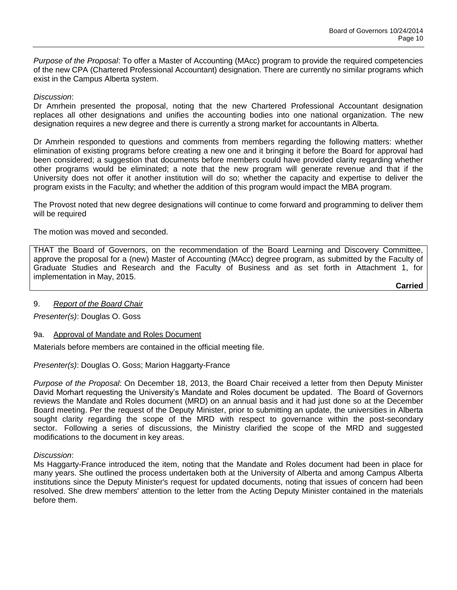*Purpose of the Proposal*: To offer a Master of Accounting (MAcc) program to provide the required competencies of the new CPA (Chartered Professional Accountant) designation. There are currently no similar programs which exist in the Campus Alberta system.

## *Discussion*:

Dr Amrhein presented the proposal, noting that the new Chartered Professional Accountant designation replaces all other designations and unifies the accounting bodies into one national organization. The new designation requires a new degree and there is currently a strong market for accountants in Alberta.

Dr Amrhein responded to questions and comments from members regarding the following matters: whether elimination of existing programs before creating a new one and it bringing it before the Board for approval had been considered; a suggestion that documents before members could have provided clarity regarding whether other programs would be eliminated; a note that the new program will generate revenue and that if the University does not offer it another institution will do so; whether the capacity and expertise to deliver the program exists in the Faculty; and whether the addition of this program would impact the MBA program.

The Provost noted that new degree designations will continue to come forward and programming to deliver them will be required

The motion was moved and seconded.

THAT the Board of Governors, on the recommendation of the Board Learning and Discovery Committee, approve the proposal for a (new) Master of Accounting (MAcc) degree program, as submitted by the Faculty of Graduate Studies and Research and the Faculty of Business and as set forth in Attachment 1, for implementation in May, 2015.

**Carried**

## 9. *Report of the Board Chair*

*Presenter(s)*: Douglas O. Goss

## 9a. Approval of Mandate and Roles Document

Materials before members are contained in the official meeting file.

*Presenter(s)*: Douglas O. Goss; Marion Haggarty-France

*Purpose of the Proposal*: On December 18, 2013, the Board Chair received a letter from then Deputy Minister David Morhart requesting the University's Mandate and Roles document be updated. The Board of Governors reviews the Mandate and Roles document (MRD) on an annual basis and it had just done so at the December Board meeting. Per the request of the Deputy Minister, prior to submitting an update, the universities in Alberta sought clarity regarding the scope of the MRD with respect to governance within the post-secondary sector. Following a series of discussions, the Ministry clarified the scope of the MRD and suggested modifications to the document in key areas.

#### *Discussion*:

Ms Haggarty-France introduced the item, noting that the Mandate and Roles document had been in place for many years. She outlined the process undertaken both at the University of Alberta and among Campus Alberta institutions since the Deputy Minister's request for updated documents, noting that issues of concern had been resolved. She drew members' attention to the letter from the Acting Deputy Minister contained in the materials before them.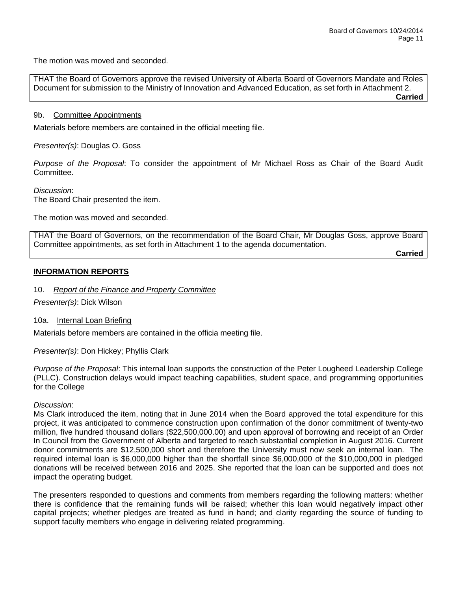The motion was moved and seconded.

THAT the Board of Governors approve the revised University of Alberta Board of Governors Mandate and Roles Document for submission to the Ministry of Innovation and Advanced Education, as set forth in Attachment 2.

**Carried**

### 9b. Committee Appointments

Materials before members are contained in the official meeting file.

*Presenter(s)*: Douglas O. Goss

*Purpose of the Proposal*: To consider the appointment of Mr Michael Ross as Chair of the Board Audit Committee.

*Discussion*:

The Board Chair presented the item.

The motion was moved and seconded.

THAT the Board of Governors, on the recommendation of the Board Chair, Mr Douglas Goss, approve Board Committee appointments, as set forth in Attachment 1 to the agenda documentation. **Carried**

### **INFORMATION REPORTS**

10. *Report of the Finance and Property Committee*

*Presenter(s)*: Dick Wilson

10a. Internal Loan Briefing

Materials before members are contained in the officia meeting file.

*Presenter(s)*: Don Hickey; Phyllis Clark

*Purpose of the Proposal*: This internal loan supports the construction of the Peter Lougheed Leadership College (PLLC). Construction delays would impact teaching capabilities, student space, and programming opportunities for the College

*Discussion*:

Ms Clark introduced the item, noting that in June 2014 when the Board approved the total expenditure for this project, it was anticipated to commence construction upon confirmation of the donor commitment of twenty-two million, five hundred thousand dollars (\$22,500,000.00) and upon approval of borrowing and receipt of an Order In Council from the Government of Alberta and targeted to reach substantial completion in August 2016. Current donor commitments are \$12,500,000 short and therefore the University must now seek an internal loan. The required internal loan is \$6,000,000 higher than the shortfall since \$6,000,000 of the \$10,000,000 in pledged donations will be received between 2016 and 2025. She reported that the loan can be supported and does not impact the operating budget.

The presenters responded to questions and comments from members regarding the following matters: whether there is confidence that the remaining funds will be raised; whether this loan would negatively impact other capital projects; whether pledges are treated as fund in hand; and clarity regarding the source of funding to support faculty members who engage in delivering related programming.